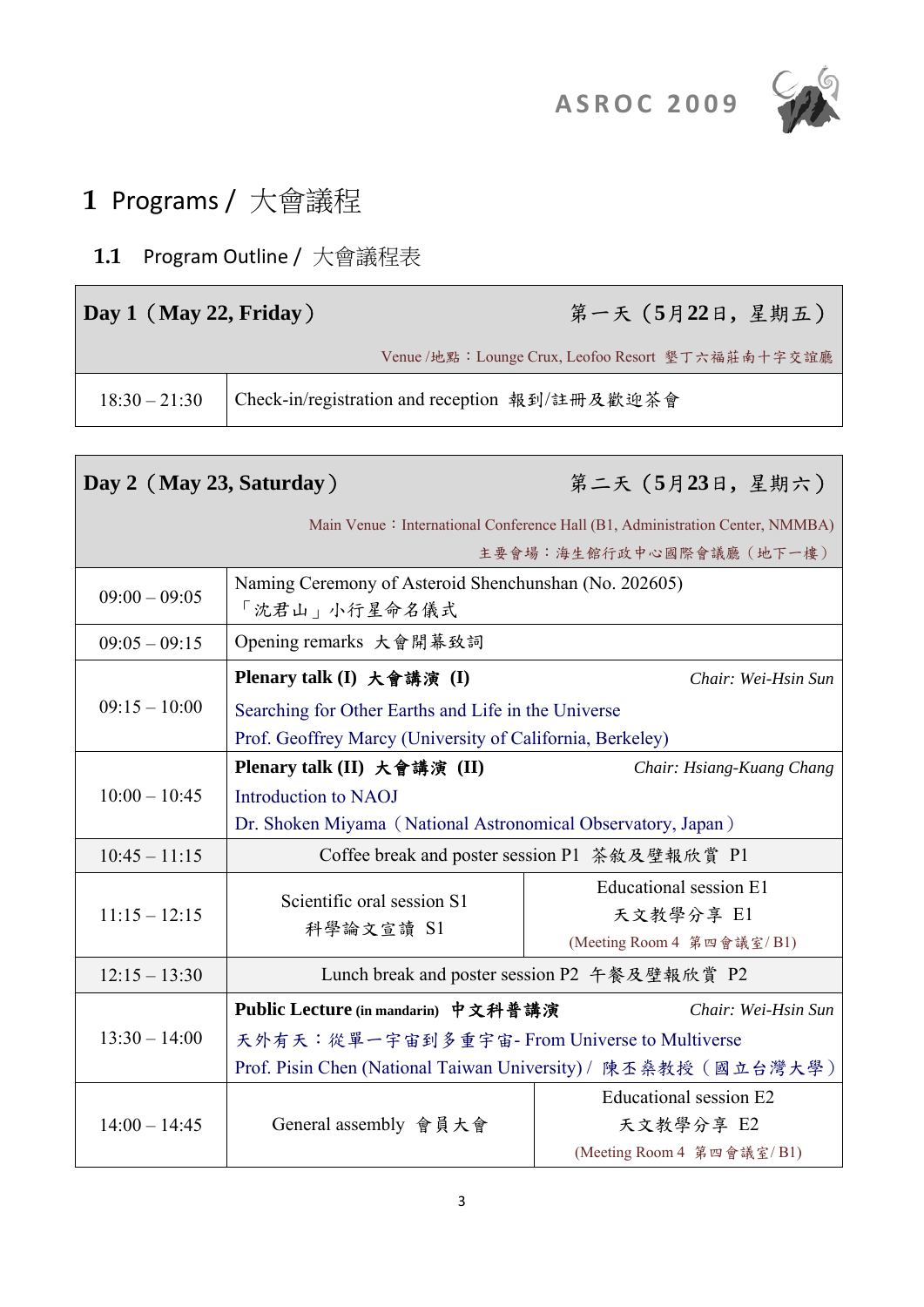



# **1** Programs / 大會議程

## **1.1** Program Outline / 大會議程表

| Day 1 (May 22, Friday) | 第一天 (5月22日, 星期五)                                  |
|------------------------|---------------------------------------------------|
|                        | Venue /地點: Lounge Crux, Leofoo Resort 墾丁六福莊南十字交誼廳 |
|                        |                                                   |

| Day 2 (May 23, Saturday) |                                                                                                                  | 第二天 (5月23日, 星期六)                                                                                         |  |  |
|--------------------------|------------------------------------------------------------------------------------------------------------------|----------------------------------------------------------------------------------------------------------|--|--|
|                          |                                                                                                                  | Main Venue: International Conference Hall (B1, Administration Center, NMMBA)<br>主要會場:海生館行政中心國際會議廳 (地下一樓) |  |  |
| $09:00 - 09:05$          | Naming Ceremony of Asteroid Shenchunshan (No. 202605)<br>「沈君山」小行星命名儀式                                            |                                                                                                          |  |  |
| $09:05 - 09:15$          | Opening remarks 大會開幕致詞                                                                                           |                                                                                                          |  |  |
|                          | Plenary talk (I) 大會講演 (I)                                                                                        | Chair: Wei-Hsin Sun                                                                                      |  |  |
| $09:15 - 10:00$          | Searching for Other Earths and Life in the Universe<br>Prof. Geoffrey Marcy (University of California, Berkeley) |                                                                                                          |  |  |
|                          | Plenary talk (II) 大會講演 (II)                                                                                      | Chair: Hsiang-Kuang Chang                                                                                |  |  |
| $10:00 - 10:45$          | Introduction to NAOJ                                                                                             |                                                                                                          |  |  |
|                          | Dr. Shoken Miyama (National Astronomical Observatory, Japan)                                                     |                                                                                                          |  |  |
| $10:45 - 11:15$          |                                                                                                                  | Coffee break and poster session P1 茶敘及壁報欣賞 P1                                                            |  |  |
| $11:15 - 12:15$          | Scientific oral session S1<br>科學論文宣讀 S1                                                                          | Educational session E1<br>天文教學分享 E1<br>(Meeting Room 4 第四會議室/B1)                                         |  |  |
| $12:15 - 13:30$          | Lunch break and poster session P2 午餐及壁報欣賞 P2                                                                     |                                                                                                          |  |  |
|                          | Public Lecture (in mandarin) 中文科普講演                                                                              | Chair: Wei-Hsin Sun                                                                                      |  |  |
| $13:30 - 14:00$          | 天外有天:從單一宇宙到多重宇宙- From Universe to Multiverse                                                                     |                                                                                                          |  |  |
|                          | Prof. Pisin Chen (National Taiwan University) / 陳丕桑教授 (國立台灣大學)                                                   |                                                                                                          |  |  |
| $14:00 - 14:45$          | General assembly 會員大會                                                                                            | Educational session E2<br>天文教學分享 E2<br>(Meeting Room 4 第四會議室/B1)                                         |  |  |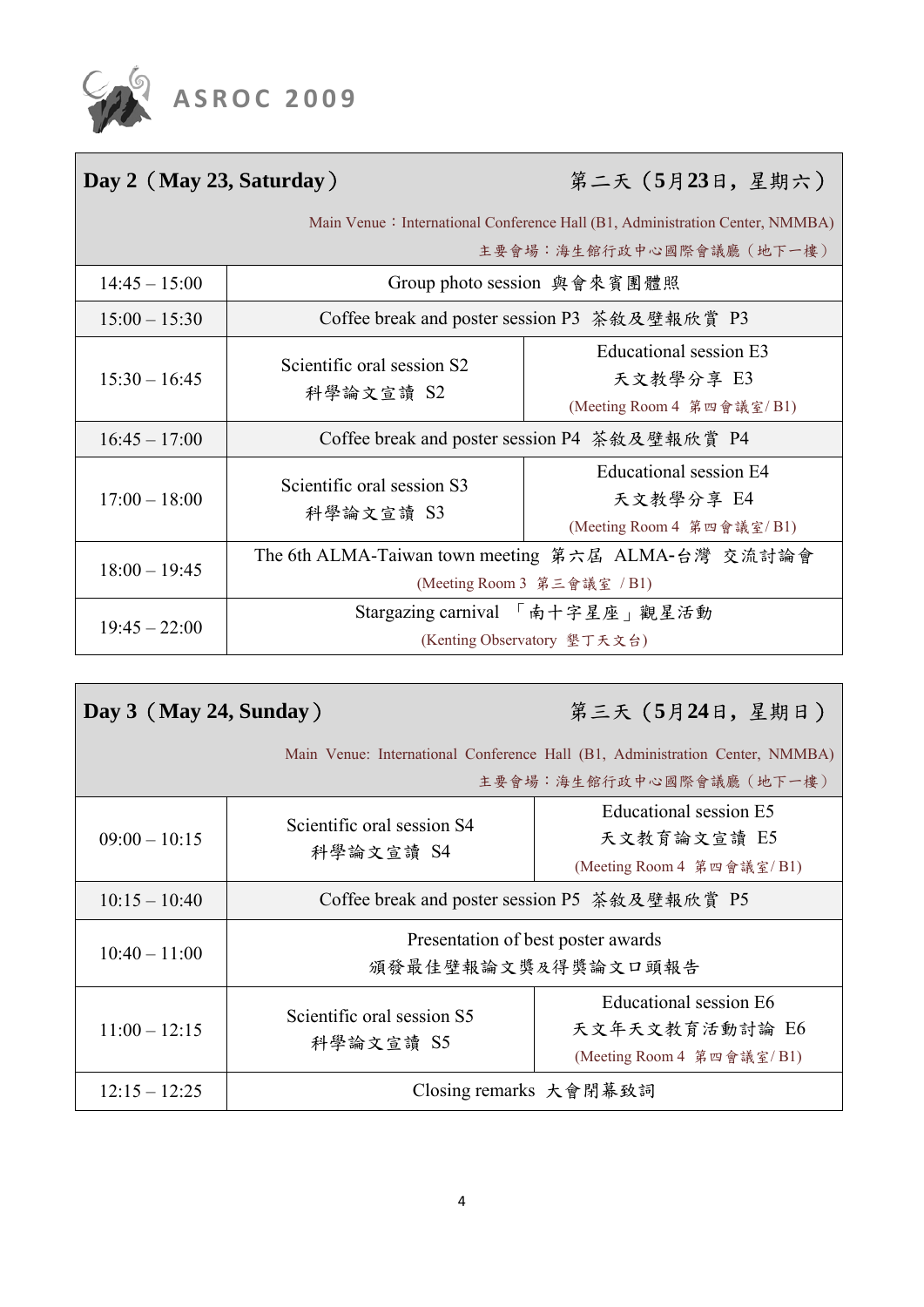

| 第二天 (5月23日, 星期六)<br>Day 2 (May 23, Saturday)                                                             |                                                                                   |                                                                  |  |
|----------------------------------------------------------------------------------------------------------|-----------------------------------------------------------------------------------|------------------------------------------------------------------|--|
| Main Venue: International Conference Hall (B1, Administration Center, NMMBA)<br>主要會場:海生館行政中心國際會議廳 (地下一樓) |                                                                                   |                                                                  |  |
| $14:45 - 15:00$                                                                                          | Group photo session 與會來賓團體照                                                       |                                                                  |  |
| $15:00 - 15:30$                                                                                          | Coffee break and poster session P3 茶敘及壁報欣賞 P3                                     |                                                                  |  |
| $15:30 - 16:45$                                                                                          | Scientific oral session S2<br>科學論文宣讀 S2                                           | Educational session E3<br>天文教學分享 E3<br>(Meeting Room 4 第四會議室/B1) |  |
| $16:45 - 17:00$                                                                                          | Coffee break and poster session P4 茶敘及壁報欣賞 P4                                     |                                                                  |  |
| $17:00 - 18:00$                                                                                          | Scientific oral session S3<br>科學論文宣讀 S3                                           | Educational session E4<br>天文教學分享 E4<br>(Meeting Room 4 第四會議室/B1) |  |
| $18:00 - 19:45$                                                                                          | The 6th ALMA-Taiwan town meeting 第六届 ALMA-台灣 交流討論會<br>(Meeting Room 3 第三會議室 / B1) |                                                                  |  |
| $19:45 - 22:00$                                                                                          | Stargazing carnival 「南十字星座」觀星活動<br>(Kenting Observatory 墾丁天文台)                    |                                                                  |  |

| Day $3$ (May 24, Sunday) |                                                          | 第三天 (5月24日,星期日)                                                                                          |
|--------------------------|----------------------------------------------------------|----------------------------------------------------------------------------------------------------------|
|                          |                                                          | Main Venue: International Conference Hall (B1, Administration Center, NMMBA)<br>主要會場:海生館行政中心國際會議廳 (地下一樓) |
| $09:00 - 10:15$          | Scientific oral session S4<br>科學論文宣讀 S4                  | Educational session E5<br>天文教育論文宣讀 E5<br>(Meeting Room 4 第四會議室/B1)                                       |
| $10:15 - 10:40$          | Coffee break and poster session P5 茶敘及壁報欣賞 P5            |                                                                                                          |
| $10:40 - 11:00$          | Presentation of best poster awards<br>頒發最佳壁報論文獎及得獎論文口頭報告 |                                                                                                          |
| $11:00 - 12:15$          | Scientific oral session S5<br>科學論文宣讀 S5                  | Educational session E6<br>天文年天文教育活動討論 E6<br>(Meeting Room 4 第四會議室/B1)                                    |
| $12:15 - 12:25$          | Closing remarks 大會閉幕致詞                                   |                                                                                                          |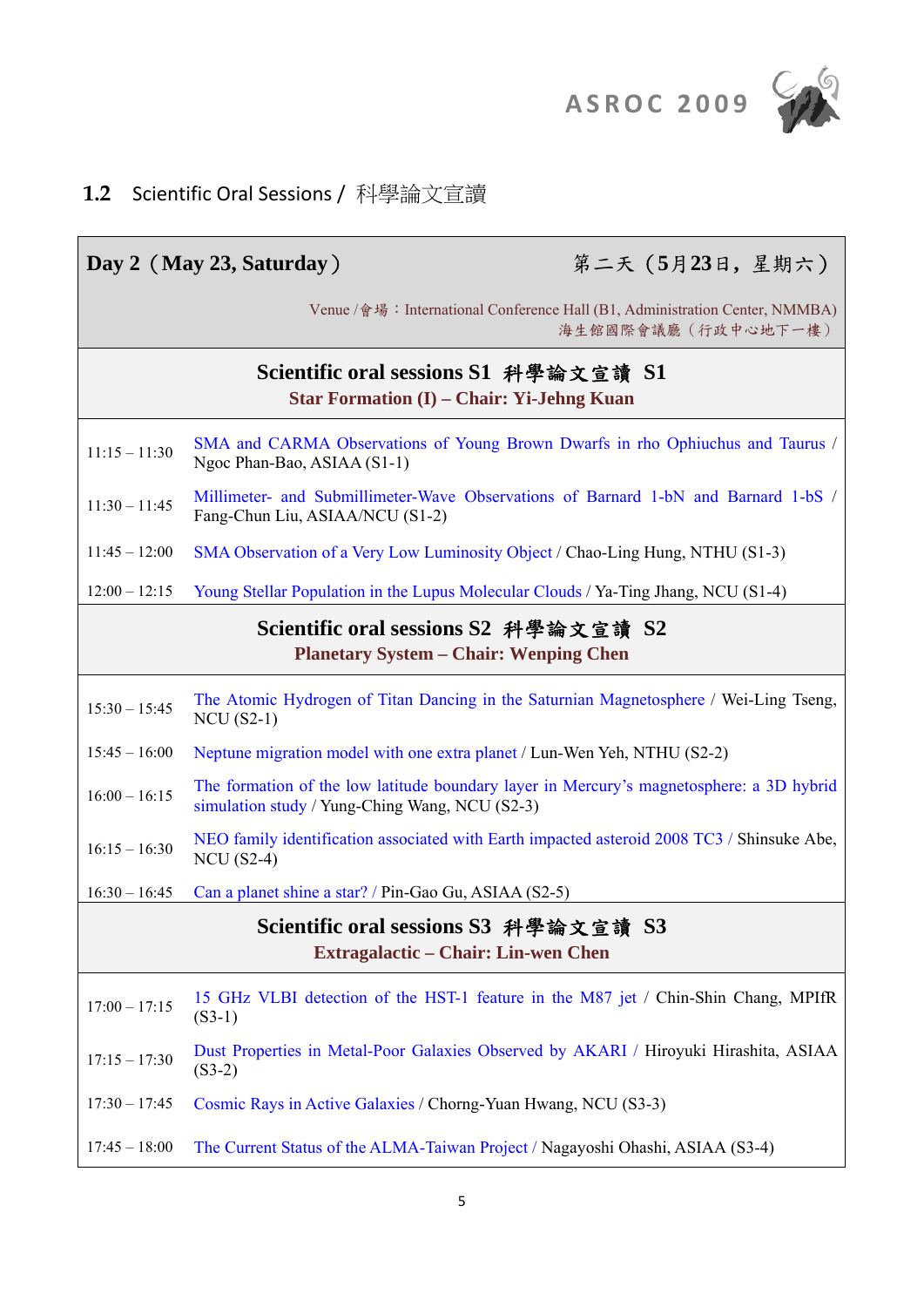

#### **1.2** Scientific Oral Sessions / 科學論文宣讀

|                                                                                           | 第二天 (5月23日,星期六)<br>Day 2 (May 23, Saturday)                                                                                                |  |  |
|-------------------------------------------------------------------------------------------|--------------------------------------------------------------------------------------------------------------------------------------------|--|--|
|                                                                                           | Venue /會場: International Conference Hall (B1, Administration Center, NMMBA)<br>海生館國際會議廳 (行政中心地下一樓)                                         |  |  |
| Scientific oral sessions S1 科學論文宣讀 S1<br><b>Star Formation (I) – Chair: Yi-Jehng Kuan</b> |                                                                                                                                            |  |  |
| $11:15 - 11:30$                                                                           | SMA and CARMA Observations of Young Brown Dwarfs in rho Ophiuchus and Taurus /<br>Ngoc Phan-Bao, ASIAA (S1-1)                              |  |  |
| $11:30 - 11:45$                                                                           | Millimeter- and Submillimeter-Wave Observations of Barnard 1-bN and Barnard 1-bS /<br>Fang-Chun Liu, ASIAA/NCU (S1-2)                      |  |  |
| $11:45 - 12:00$                                                                           | SMA Observation of a Very Low Luminosity Object / Chao-Ling Hung, NTHU (S1-3)                                                              |  |  |
| $12:00 - 12:15$                                                                           | Young Stellar Population in the Lupus Molecular Clouds / Ya-Ting Jhang, NCU (S1-4)                                                         |  |  |
|                                                                                           | Scientific oral sessions S2 科學論文宣讀 S2<br><b>Planetary System – Chair: Wenping Chen</b>                                                     |  |  |
| $15:30 - 15:45$                                                                           | The Atomic Hydrogen of Titan Dancing in the Saturnian Magnetosphere / Wei-Ling Tseng,<br>$NCU(S2-1)$                                       |  |  |
| $15:45 - 16:00$                                                                           | Neptune migration model with one extra planet / Lun-Wen Yeh, NTHU (S2-2)                                                                   |  |  |
| $16:00 - 16:15$                                                                           | The formation of the low latitude boundary layer in Mercury's magnetosphere: a 3D hybrid<br>simulation study / Yung-Ching Wang, NCU (S2-3) |  |  |
| $16:15 - 16:30$                                                                           | NEO family identification associated with Earth impacted asteroid 2008 TC3 / Shinsuke Abe,<br>$NCU$ (S2-4)                                 |  |  |
| $16:30 - 16:45$                                                                           | Can a planet shine a star? / Pin-Gao Gu, ASIAA (S2-5)                                                                                      |  |  |
| Scientific oral sessions S3 科學論文宣讀 S3<br>Extragalactic – Chair: Lin-wen Chen              |                                                                                                                                            |  |  |
| $17:00 - 17:15$                                                                           | 15 GHz VLBI detection of the HST-1 feature in the M87 jet / Chin-Shin Chang, MPIfR<br>$(S3-1)$                                             |  |  |
| $17:15 - 17:30$                                                                           | Dust Properties in Metal-Poor Galaxies Observed by AKARI / Hiroyuki Hirashita, ASIAA<br>$(S3-2)$                                           |  |  |
| $17:30 - 17:45$                                                                           | Cosmic Rays in Active Galaxies / Chorng-Yuan Hwang, NCU (S3-3)                                                                             |  |  |
| $17:45 - 18:00$                                                                           | The Current Status of the ALMA-Taiwan Project / Nagayoshi Ohashi, ASIAA (S3-4)                                                             |  |  |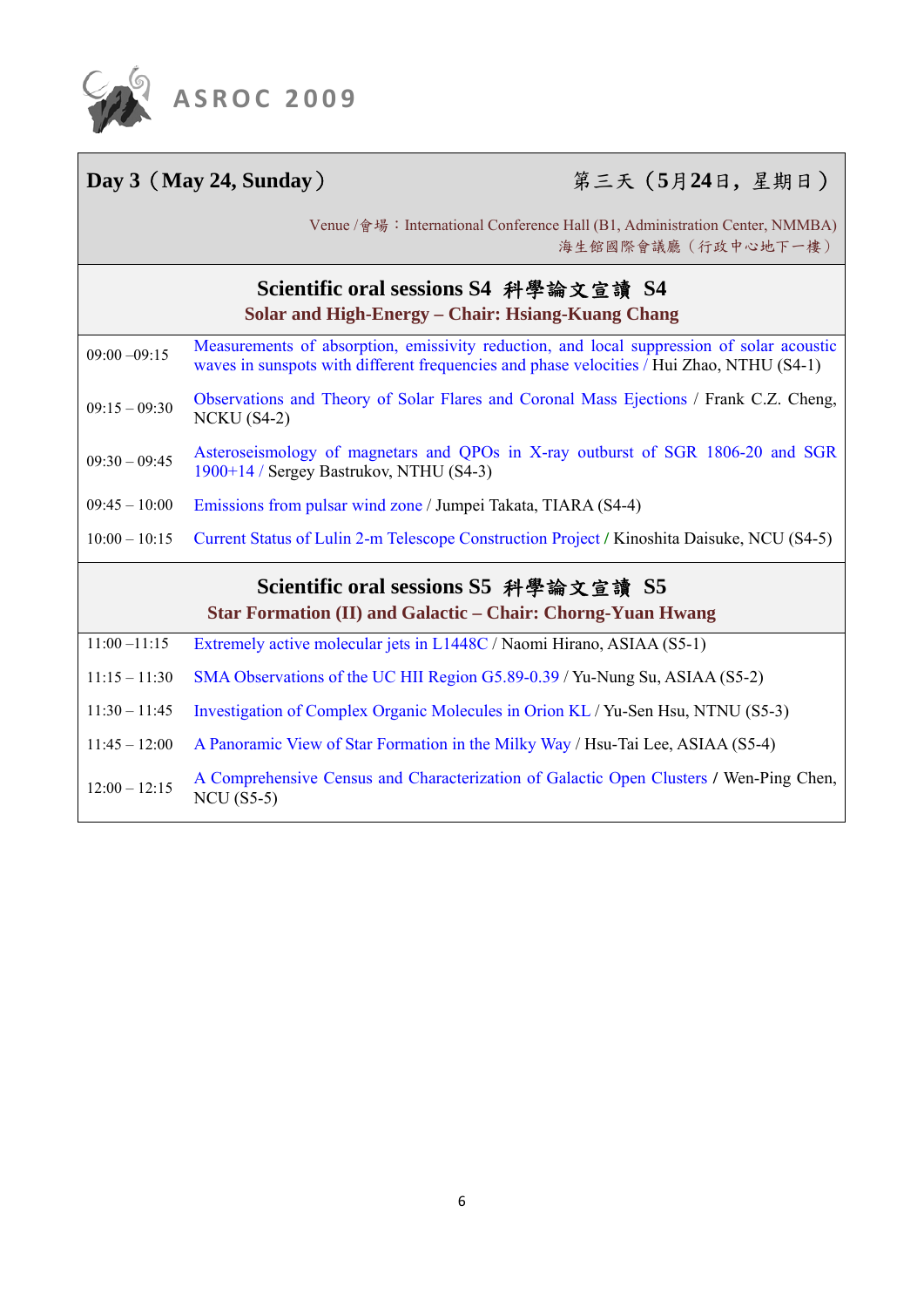

### **Day 3**(**May 24, Sunday**) 第三天(**5**月**24**日**,** 星期日)

Venue /會場: International Conference Hall (B1, Administration Center, NMMBA) 海生館國際會議廳(行政中心地下一樓)

|                 | Scientific oral sessions S4 科學論文宣讀 S4<br>Solar and High-Energy – Chair: Hsiang-Kuang Chang                                                                                             |
|-----------------|----------------------------------------------------------------------------------------------------------------------------------------------------------------------------------------|
| $09:00 - 09:15$ | Measurements of absorption, emissivity reduction, and local suppression of solar acoustic<br>waves in sunspots with different frequencies and phase velocities / Hui Zhao, NTHU (S4-1) |
| $09:15 - 09:30$ | Observations and Theory of Solar Flares and Coronal Mass Ejections / Frank C.Z. Cheng,<br>$NCKU (S4-2)$                                                                                |
| $09:30 - 09:45$ | Asteroseismology of magnetars and QPOs in X-ray outburst of SGR 1806-20 and SGR<br>1900+14 / Sergey Bastrukov, NTHU (S4-3)                                                             |
| $09:45 - 10:00$ | Emissions from pulsar wind zone / Jumpei Takata, TIARA (S4-4)                                                                                                                          |
| $10:00 - 10:15$ | Current Status of Lulin 2-m Telescope Construction Project / Kinoshita Daisuke, NCU (S4-5)                                                                                             |
|                 | Scientific oral sessions S5 科學論文宣讀 S5<br><b>Star Formation (II) and Galactic – Chair: Chorng-Yuan Hwang</b>                                                                            |
| $11:00 - 11:15$ | Extremely active molecular jets in L1448C / Naomi Hirano, ASIAA (S5-1)                                                                                                                 |
| $11:15 - 11:30$ | SMA Observations of the UC HII Region G5.89-0.39 / Yu-Nung Su, ASIAA (S5-2)                                                                                                            |
| $11:30 - 11:45$ | Investigation of Complex Organic Molecules in Orion KL / Yu-Sen Hsu, NTNU (S5-3)                                                                                                       |
| $11:45 - 12:00$ | A Panoramic View of Star Formation in the Milky Way / Hsu-Tai Lee, ASIAA (S5-4)                                                                                                        |
| $12:00 - 12:15$ | A Comprehensive Census and Characterization of Galactic Open Clusters / Wen-Ping Chen,<br>$NCU$ (S5-5)                                                                                 |